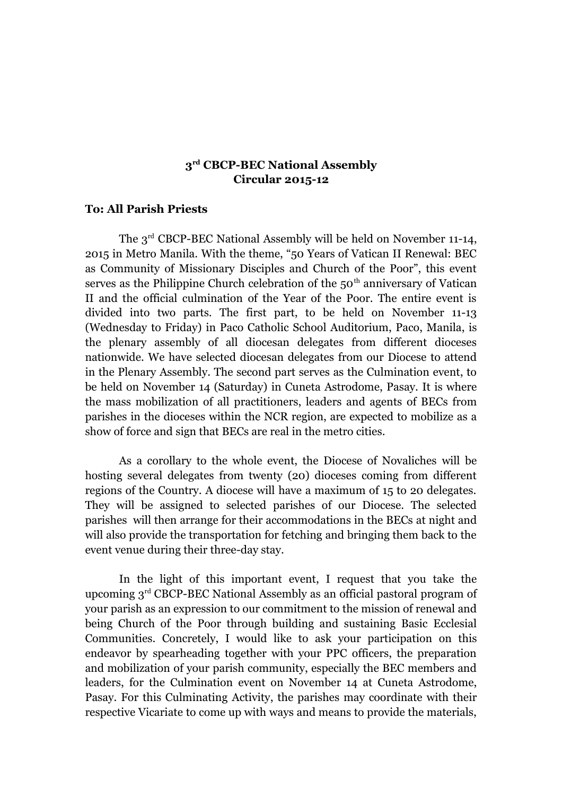## **3 rd CBCP-BEC National Assembly Circular 2015-12**

## **To: All Parish Priests**

The 3<sup>rd</sup> CBCP-BEC National Assembly will be held on November 11-14, 2015 in Metro Manila. With the theme, "50 Years of Vatican II Renewal: BEC as Community of Missionary Disciples and Church of the Poor", this event serves as the Philippine Church celebration of the  $50<sup>th</sup>$  anniversary of Vatican II and the official culmination of the Year of the Poor. The entire event is divided into two parts. The first part, to be held on November 11-13 (Wednesday to Friday) in Paco Catholic School Auditorium, Paco, Manila, is the plenary assembly of all diocesan delegates from different dioceses nationwide. We have selected diocesan delegates from our Diocese to attend in the Plenary Assembly. The second part serves as the Culmination event, to be held on November 14 (Saturday) in Cuneta Astrodome, Pasay. It is where the mass mobilization of all practitioners, leaders and agents of BECs from parishes in the dioceses within the NCR region, are expected to mobilize as a show of force and sign that BECs are real in the metro cities.

As a corollary to the whole event, the Diocese of Novaliches will be hosting several delegates from twenty (20) dioceses coming from different regions of the Country. A diocese will have a maximum of 15 to 20 delegates. They will be assigned to selected parishes of our Diocese. The selected parishes will then arrange for their accommodations in the BECs at night and will also provide the transportation for fetching and bringing them back to the event venue during their three-day stay.

In the light of this important event, I request that you take the upcoming 3rd CBCP-BEC National Assembly as an official pastoral program of your parish as an expression to our commitment to the mission of renewal and being Church of the Poor through building and sustaining Basic Ecclesial Communities. Concretely, I would like to ask your participation on this endeavor by spearheading together with your PPC officers, the preparation and mobilization of your parish community, especially the BEC members and leaders, for the Culmination event on November 14 at Cuneta Astrodome, Pasay. For this Culminating Activity, the parishes may coordinate with their respective Vicariate to come up with ways and means to provide the materials,